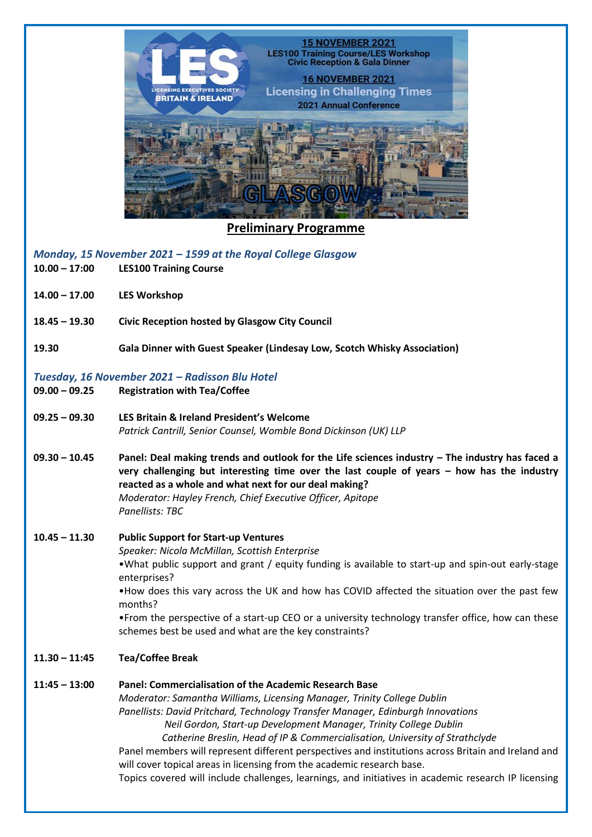

**Preliminary Programme**

*Monday, 15 November 2021 – 1599 at the Royal College Glasgow*

- **10.00 – 17:00 LES100 Training Course**
- **14.00 – 17.00 LES Workshop**
- **18.45 – 19.30 Civic Reception hosted by Glasgow City Council**
- **19.30 Gala Dinner with Guest Speaker (Lindesay Low, Scotch Whisky Association)**

### *Tuesday, 16 November 2021 – Radisson Blu Hotel*

- **09.00 – 09.25 Registration with Tea/Coffee**
- **09.25 – 09.30 LES Britain & Ireland President's Welcome** *Patrick Cantrill, Senior Counsel, Womble Bond Dickinson (UK) LLP*
- **09.30 – 10.45 Panel: Deal making trends and outlook for the Life sciences industry – The industry has faced a very challenging but interesting time over the last couple of years – how has the industry reacted as a whole and what next for our deal making?**  *Moderator: Hayley French, Chief Executive Officer, Apitope Panellists: TBC*

# **10.45 – 11.30 Public Support for Start-up Ventures** *Speaker: Nicola McMillan, Scottish Enterprise* •What public support and grant / equity funding is available to start-up and spin-out early-stage

enterprises? •How does this vary across the UK and how has COVID affected the situation over the past few months?

•From the perspective of a start-up CEO or a university technology transfer office, how can these schemes best be used and what are the key constraints?

- **11.30 – 11:45 Tea/Coffee Break**
- **11:45 – 13:00 Panel: Commercialisation of the Academic Research Base** *Moderator: Samantha Williams, Licensing Manager, Trinity College Dublin Panellists: David Pritchard, Technology Transfer Manager, Edinburgh Innovations Neil Gordon, Start-up Development Manager, Trinity College Dublin Catherine Breslin, Head of IP & Commercialisation, University of Strathclyde* Panel members will represent different perspectives and institutions across Britain and Ireland and will cover topical areas in licensing from the academic research base. Topics covered will include challenges, learnings, and initiatives in academic research IP licensing